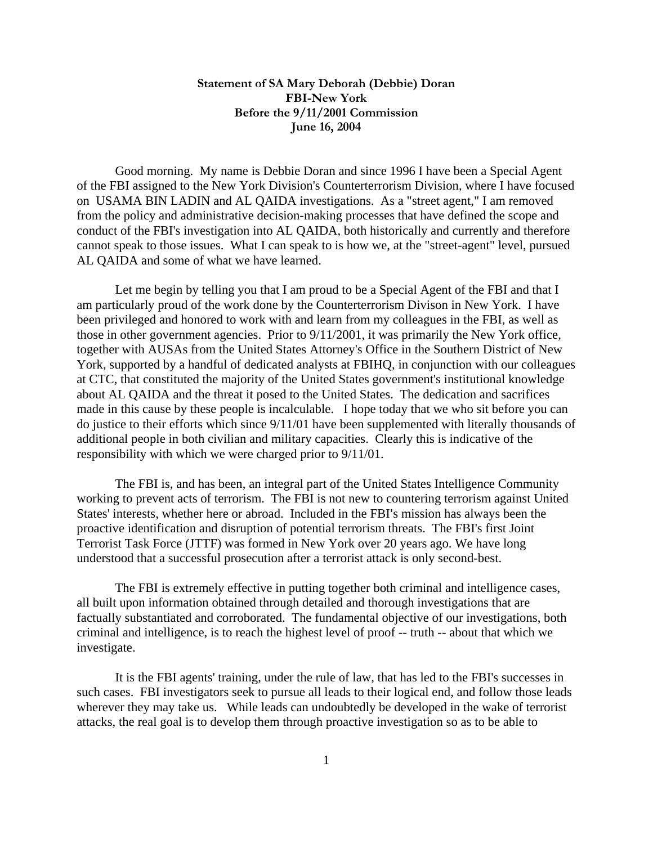## **Statement of SA Mary Deborah (Debbie) Doran FBI-New York Before the 9/11/2001 Commission June 16, 2004**

Good morning. My name is Debbie Doran and since 1996 I have been a Special Agent of the FBI assigned to the New York Division's Counterterrorism Division, where I have focused on USAMA BIN LADIN and AL QAIDA investigations. As a "street agent," I am removed from the policy and administrative decision-making processes that have defined the scope and conduct of the FBI's investigation into AL QAIDA, both historically and currently and therefore cannot speak to those issues. What I can speak to is how we, at the "street-agent" level, pursued AL QAIDA and some of what we have learned.

Let me begin by telling you that I am proud to be a Special Agent of the FBI and that I am particularly proud of the work done by the Counterterrorism Divison in New York. I have been privileged and honored to work with and learn from my colleagues in the FBI, as well as those in other government agencies. Prior to 9/11/2001, it was primarily the New York office, together with AUSAs from the United States Attorney's Office in the Southern District of New York, supported by a handful of dedicated analysts at FBIHQ, in conjunction with our colleagues at CTC, that constituted the majority of the United States government's institutional knowledge about AL QAIDA and the threat it posed to the United States. The dedication and sacrifices made in this cause by these people is incalculable. I hope today that we who sit before you can do justice to their efforts which since 9/11/01 have been supplemented with literally thousands of additional people in both civilian and military capacities. Clearly this is indicative of the responsibility with which we were charged prior to 9/11/01.

The FBI is, and has been, an integral part of the United States Intelligence Community working to prevent acts of terrorism. The FBI is not new to countering terrorism against United States' interests, whether here or abroad. Included in the FBI's mission has always been the proactive identification and disruption of potential terrorism threats. The FBI's first Joint Terrorist Task Force (JTTF) was formed in New York over 20 years ago. We have long understood that a successful prosecution after a terrorist attack is only second-best.

The FBI is extremely effective in putting together both criminal and intelligence cases, all built upon information obtained through detailed and thorough investigations that are factually substantiated and corroborated. The fundamental objective of our investigations, both criminal and intelligence, is to reach the highest level of proof -- truth -- about that which we investigate.

It is the FBI agents' training, under the rule of law, that has led to the FBI's successes in such cases. FBI investigators seek to pursue all leads to their logical end, and follow those leads wherever they may take us. While leads can undoubtedly be developed in the wake of terrorist attacks, the real goal is to develop them through proactive investigation so as to be able to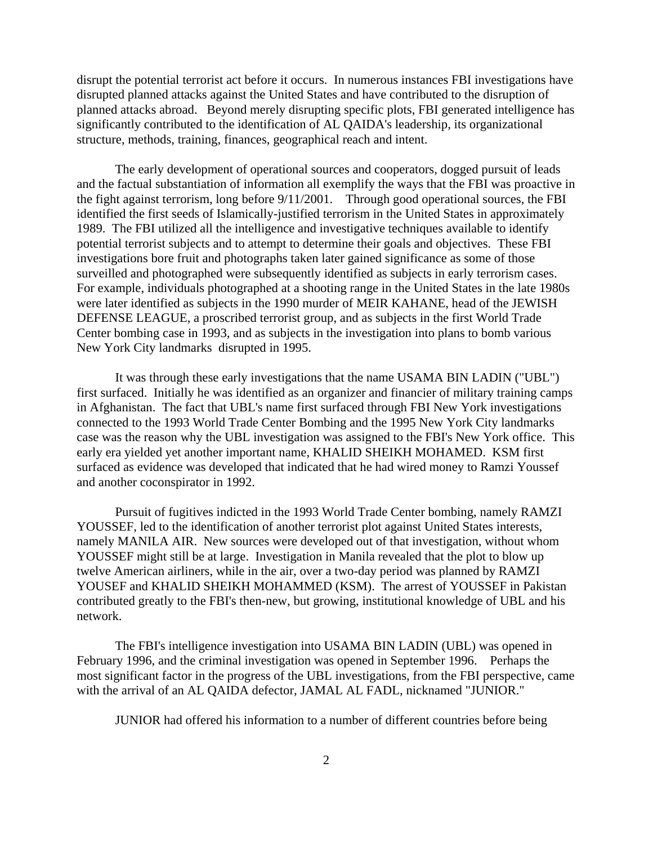disrupt the potential terrorist act before it occurs. In numerous instances FBI investigations have disrupted planned attacks against the United States and have contributed to the disruption of planned attacks abroad. Beyond merely disrupting specific plots, FBI generated intelligence has significantly contributed to the identification of AL QAIDA's leadership, its organizational structure, methods, training, finances, geographical reach and intent.

The early development of operational sources and cooperators, dogged pursuit of leads and the factual substantiation of information all exemplify the ways that the FBI was proactive in the fight against terrorism, long before 9/11/2001. Through good operational sources, the FBI identified the first seeds of Islamically-justified terrorism in the United States in approximately 1989. The FBI utilized all the intelligence and investigative techniques available to identify potential terrorist subjects and to attempt to determine their goals and objectives. These FBI investigations bore fruit and photographs taken later gained significance as some of those surveilled and photographed were subsequently identified as subjects in early terrorism cases. For example, individuals photographed at a shooting range in the United States in the late 1980s were later identified as subjects in the 1990 murder of MEIR KAHANE, head of the JEWISH DEFENSE LEAGUE, a proscribed terrorist group, and as subjects in the first World Trade Center bombing case in 1993, and as subjects in the investigation into plans to bomb various New York City landmarks disrupted in 1995.

It was through these early investigations that the name USAMA BIN LADIN ("UBL") first surfaced. Initially he was identified as an organizer and financier of military training camps in Afghanistan. The fact that UBL's name first surfaced through FBI New York investigations connected to the 1993 World Trade Center Bombing and the 1995 New York City landmarks case was the reason why the UBL investigation was assigned to the FBI's New York office. This early era yielded yet another important name, KHALID SHEIKH MOHAMED. KSM first surfaced as evidence was developed that indicated that he had wired money to Ramzi Youssef and another coconspirator in 1992.

Pursuit of fugitives indicted in the 1993 World Trade Center bombing, namely RAMZI YOUSSEF, led to the identification of another terrorist plot against United States interests, namely MANILA AIR. New sources were developed out of that investigation, without whom YOUSSEF might still be at large. Investigation in Manila revealed that the plot to blow up twelve American airliners, while in the air, over a two-day period was planned by RAMZI YOUSEF and KHALID SHEIKH MOHAMMED (KSM). The arrest of YOUSSEF in Pakistan contributed greatly to the FBI's then-new, but growing, institutional knowledge of UBL and his network.

The FBI's intelligence investigation into USAMA BIN LADIN (UBL) was opened in February 1996, and the criminal investigation was opened in September 1996. Perhaps the most significant factor in the progress of the UBL investigations, from the FBI perspective, came with the arrival of an AL QAIDA defector, JAMAL AL FADL, nicknamed "JUNIOR."

JUNIOR had offered his information to a number of different countries before being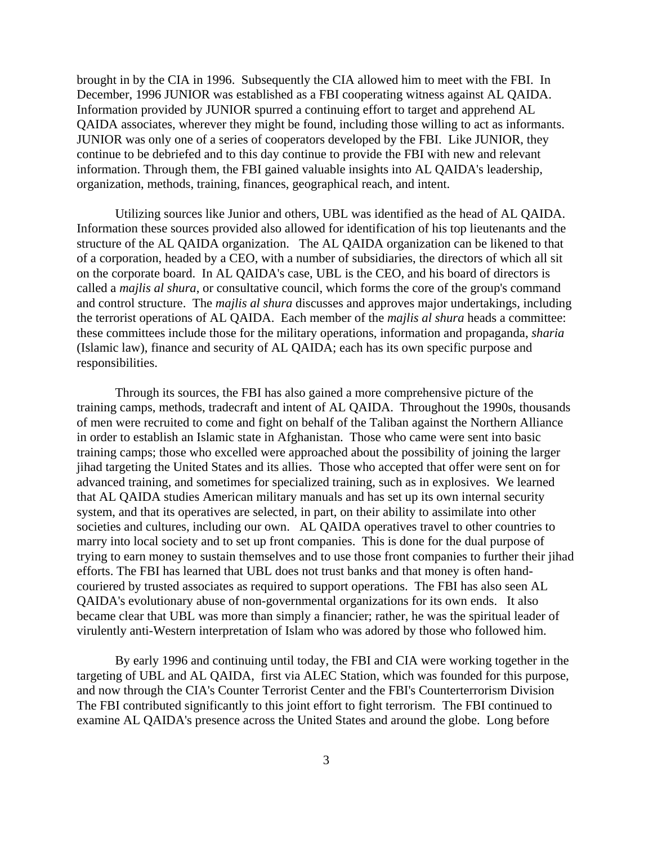brought in by the CIA in 1996. Subsequently the CIA allowed him to meet with the FBI. In December, 1996 JUNIOR was established as a FBI cooperating witness against AL QAIDA. Information provided by JUNIOR spurred a continuing effort to target and apprehend AL QAIDA associates, wherever they might be found, including those willing to act as informants. JUNIOR was only one of a series of cooperators developed by the FBI. Like JUNIOR, they continue to be debriefed and to this day continue to provide the FBI with new and relevant information. Through them, the FBI gained valuable insights into AL QAIDA's leadership, organization, methods, training, finances, geographical reach, and intent.

Utilizing sources like Junior and others, UBL was identified as the head of AL QAIDA. Information these sources provided also allowed for identification of his top lieutenants and the structure of the AL QAIDA organization. The AL QAIDA organization can be likened to that of a corporation, headed by a CEO, with a number of subsidiaries, the directors of which all sit on the corporate board. In AL QAIDA's case, UBL is the CEO, and his board of directors is called a *majlis al shura*, or consultative council, which forms the core of the group's command and control structure. The *majlis al shura* discusses and approves major undertakings, including the terrorist operations of AL QAIDA. Each member of the *majlis al shura* heads a committee: these committees include those for the military operations, information and propaganda, *sharia*  (Islamic law), finance and security of AL QAIDA; each has its own specific purpose and responsibilities.

Through its sources, the FBI has also gained a more comprehensive picture of the training camps, methods, tradecraft and intent of AL QAIDA. Throughout the 1990s, thousands of men were recruited to come and fight on behalf of the Taliban against the Northern Alliance in order to establish an Islamic state in Afghanistan. Those who came were sent into basic training camps; those who excelled were approached about the possibility of joining the larger jihad targeting the United States and its allies. Those who accepted that offer were sent on for advanced training, and sometimes for specialized training, such as in explosives. We learned that AL QAIDA studies American military manuals and has set up its own internal security system, and that its operatives are selected, in part, on their ability to assimilate into other societies and cultures, including our own. AL QAIDA operatives travel to other countries to marry into local society and to set up front companies. This is done for the dual purpose of trying to earn money to sustain themselves and to use those front companies to further their jihad efforts. The FBI has learned that UBL does not trust banks and that money is often handcouriered by trusted associates as required to support operations. The FBI has also seen AL QAIDA's evolutionary abuse of non-governmental organizations for its own ends. It also became clear that UBL was more than simply a financier; rather, he was the spiritual leader of virulently anti-Western interpretation of Islam who was adored by those who followed him.

By early 1996 and continuing until today, the FBI and CIA were working together in the targeting of UBL and AL QAIDA, first via ALEC Station, which was founded for this purpose, and now through the CIA's Counter Terrorist Center and the FBI's Counterterrorism Division The FBI contributed significantly to this joint effort to fight terrorism. The FBI continued to examine AL QAIDA's presence across the United States and around the globe. Long before